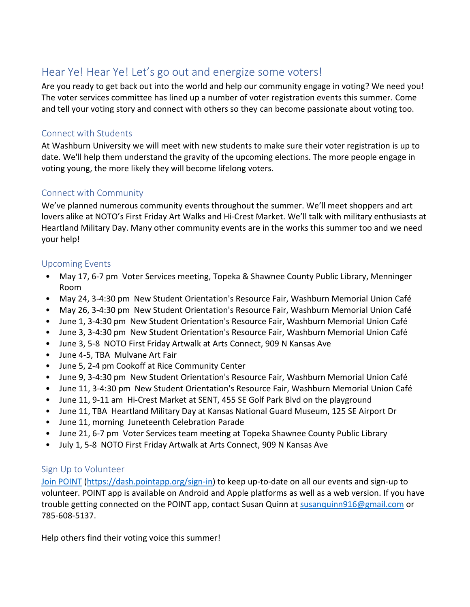# Hear Ye! Hear Ye! Let's go out and energize some voters!

Are you ready to get back out into the world and help our community engage in voting? We need you! The voter services committee has lined up a number of voter registration events this summer. Come and tell your voting story and connect with others so they can become passionate about voting too.

# Connect with Students

At Washburn University we will meet with new students to make sure their voter registration is up to date. We'll help them understand the gravity of the upcoming elections. The more people engage in voting young, the more likely they will become lifelong voters.

# Connect with Community

We've planned numerous community events throughout the summer. We'll meet shoppers and art lovers alike at NOTO's First Friday Art Walks and Hi-Crest Market. We'll talk with military enthusiasts at Heartland Military Day. Many other community events are in the works this summer too and we need your help!

## Upcoming Events

- May 17, 6-7 pm Voter Services meeting, Topeka & Shawnee County Public Library, Menninger Room
- May 24, 3-4:30 pm New Student Orientation's Resource Fair, Washburn Memorial Union Café
- May 26, 3-4:30 pm New Student Orientation's Resource Fair, Washburn Memorial Union Café
- June 1, 3-4:30 pm New Student Orientation's Resource Fair, Washburn Memorial Union Café
- June 3, 3-4:30 pm New Student Orientation's Resource Fair, Washburn Memorial Union Café
- June 3, 5-8 NOTO First Friday Artwalk at Arts Connect, 909 N Kansas Ave
- June 4-5, TBA Mulvane Art Fair
- June 5, 2-4 pm Cookoff at Rice Community Center
- June 9, 3-4:30 pm New Student Orientation's Resource Fair, Washburn Memorial Union Café
- June 11, 3-4:30 pm New Student Orientation's Resource Fair, Washburn Memorial Union Café
- June 11, 9-11 am Hi-Crest Market at SENT, 455 SE Golf Park Blvd on the playground
- June 11, TBA Heartland Military Day at Kansas National Guard Museum, 125 SE Airport Dr
- June 11, morning Juneteenth Celebration Parade
- June 21, 6-7 pm Voter Services team meeting at Topeka Shawnee County Public Library
- July 1, 5-8 NOTO First Friday Artwalk at Arts Connect, 909 N Kansas Ave

## Sign Up to Volunteer

[Join POINT](https://dash.pointapp.org/sign-in) [\(https://dash.pointapp.org/sign-in\)](https://dash.pointapp.org/sign-in) to keep up-to-date on all our events and sign-up to volunteer. POINT app is available on Android and Apple platforms as well as a web version. If you have trouble getting connected on the POINT app, contact Susan Quinn at [susanquinn916@gmail.com](mailto:susanquinn916@gmail.com) or 785-608-5137.

Help others find their voting voice this summer!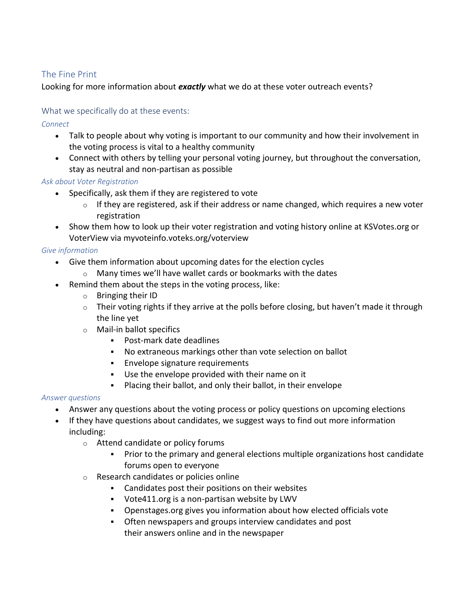## The Fine Print

Looking for more information about *exactly* what we do at these voter outreach events?

### What we specifically do at these events:

*Connect*

- Talk to people about why voting is important to our community and how their involvement in the voting process is vital to a healthy community
- Connect with others by telling your personal voting journey, but throughout the conversation, stay as neutral and non-partisan as possible

#### *Ask about Voter Registration*

- Specifically, ask them if they are registered to vote
	- $\circ$  If they are registered, ask if their address or name changed, which requires a new voter registration
- Show them how to look up their voter registration and voting history online at KSVotes.org or VoterView via myvoteinfo.voteks.org/voterview

#### *Give information*

- Give them information about upcoming dates for the election cycles
	- o Many times we'll have wallet cards or bookmarks with the dates
- Remind them about the steps in the voting process, like:
	- o Bringing their ID
	- $\circ$  Their voting rights if they arrive at the polls before closing, but haven't made it through the line yet
	- o Mail-in ballot specifics
		- Post-mark date deadlines
		- No extraneous markings other than vote selection on ballot
		- **Envelope signature requirements**
		- Use the envelope provided with their name on it
		- Placing their ballot, and only their ballot, in their envelope

#### *Answer questions*

- Answer any questions about the voting process or policy questions on upcoming elections
- If they have questions about candidates, we suggest ways to find out more information including:
	- o Attend candidate or policy forums
		- Prior to the primary and general elections multiple organizations host candidate forums open to everyone
	- o Research candidates or policies online
		- Candidates post their positions on their websites
		- Vote411.org is a non-partisan website by LWV
		- Openstages.org gives you information about how elected officials vote
		- Often newspapers and groups interview candidates and post their answers online and in the newspaper